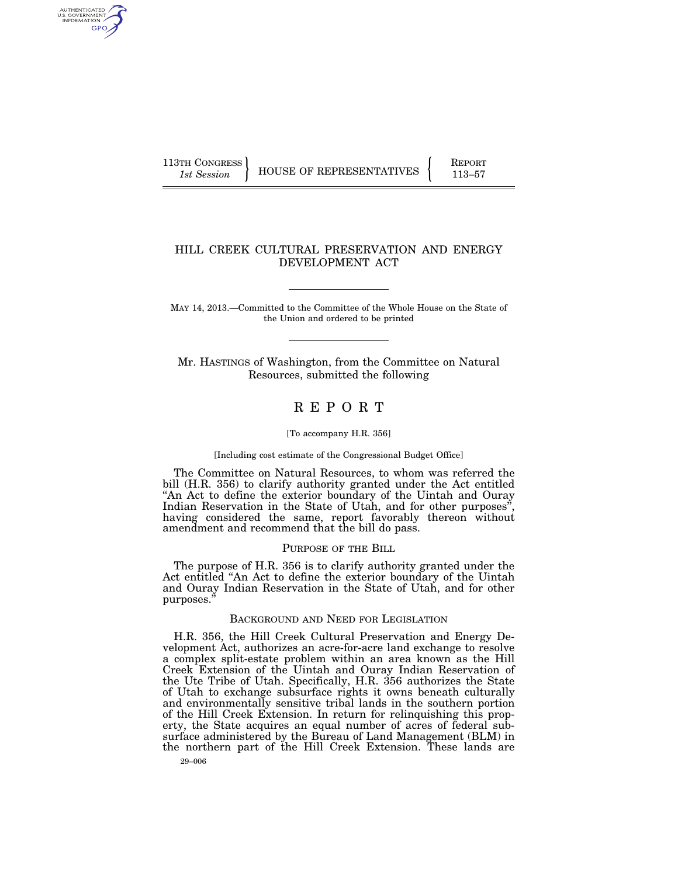AUTHENTICATED<br>U.S. GOVERNMENT<br>INFORMATION GPO

113TH CONGRESS **REPORT 113-57** HOUSE OF REPRESENTATIVES **113–57** 

## HILL CREEK CULTURAL PRESERVATION AND ENERGY DEVELOPMENT ACT

MAY 14, 2013.—Committed to the Committee of the Whole House on the State of the Union and ordered to be printed

Mr. HASTINGS of Washington, from the Committee on Natural Resources, submitted the following

# R E P O R T

#### [To accompany H.R. 356]

#### [Including cost estimate of the Congressional Budget Office]

The Committee on Natural Resources, to whom was referred the bill (H.R. 356) to clarify authority granted under the Act entitled ''An Act to define the exterior boundary of the Uintah and Ouray Indian Reservation in the State of Utah, and for other purposes<sup>"</sup> having considered the same, report favorably thereon without amendment and recommend that the bill do pass.

#### PURPOSE OF THE BILL

The purpose of H.R. 356 is to clarify authority granted under the Act entitled ''An Act to define the exterior boundary of the Uintah and Ouray Indian Reservation in the State of Utah, and for other purposes.''

#### BACKGROUND AND NEED FOR LEGISLATION

H.R. 356, the Hill Creek Cultural Preservation and Energy Development Act, authorizes an acre-for-acre land exchange to resolve a complex split-estate problem within an area known as the Hill Creek Extension of the Uintah and Ouray Indian Reservation of the Ute Tribe of Utah. Specifically, H.R. 356 authorizes the State of Utah to exchange subsurface rights it owns beneath culturally and environmentally sensitive tribal lands in the southern portion of the Hill Creek Extension. In return for relinquishing this property, the State acquires an equal number of acres of federal subsurface administered by the Bureau of Land Management (BLM) in the northern part of the Hill Creek Extension. These lands are

29–006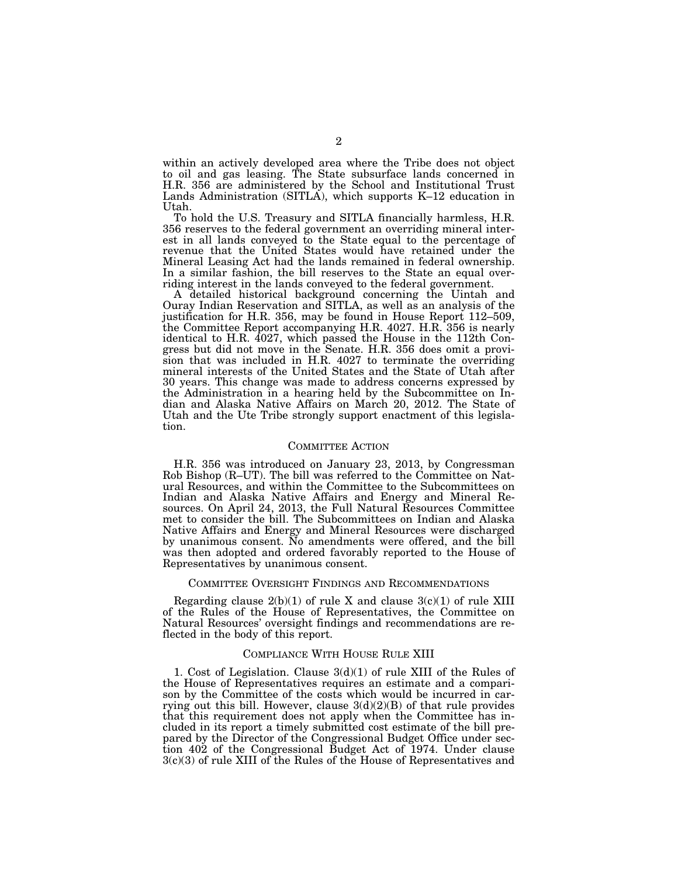within an actively developed area where the Tribe does not object to oil and gas leasing. The State subsurface lands concerned in H.R. 356 are administered by the School and Institutional Trust Lands Administration (SITLA), which supports K–12 education in Utah.

To hold the U.S. Treasury and SITLA financially harmless, H.R. 356 reserves to the federal government an overriding mineral interest in all lands conveyed to the State equal to the percentage of revenue that the United States would have retained under the Mineral Leasing Act had the lands remained in federal ownership. In a similar fashion, the bill reserves to the State an equal overriding interest in the lands conveyed to the federal government.

A detailed historical background concerning the Uintah and Ouray Indian Reservation and SITLA, as well as an analysis of the justification for H.R. 356, may be found in House Report 112–509, the Committee Report accompanying H.R. 4027. H.R. 356 is nearly identical to H.R. 4027, which passed the House in the 112th Congress but did not move in the Senate. H.R. 356 does omit a provision that was included in H.R. 4027 to terminate the overriding mineral interests of the United States and the State of Utah after 30 years. This change was made to address concerns expressed by the Administration in a hearing held by the Subcommittee on Indian and Alaska Native Affairs on March 20, 2012. The State of Utah and the Ute Tribe strongly support enactment of this legislation.

#### COMMITTEE ACTION

H.R. 356 was introduced on January 23, 2013, by Congressman Rob Bishop (R–UT). The bill was referred to the Committee on Natural Resources, and within the Committee to the Subcommittees on Indian and Alaska Native Affairs and Energy and Mineral Resources. On April 24, 2013, the Full Natural Resources Committee met to consider the bill. The Subcommittees on Indian and Alaska Native Affairs and Energy and Mineral Resources were discharged by unanimous consent. No amendments were offered, and the bill was then adopted and ordered favorably reported to the House of Representatives by unanimous consent.

#### COMMITTEE OVERSIGHT FINDINGS AND RECOMMENDATIONS

Regarding clause  $2(b)(1)$  of rule X and clause  $3(c)(1)$  of rule XIII of the Rules of the House of Representatives, the Committee on Natural Resources' oversight findings and recommendations are reflected in the body of this report.

#### COMPLIANCE WITH HOUSE RULE XIII

1. Cost of Legislation. Clause 3(d)(1) of rule XIII of the Rules of the House of Representatives requires an estimate and a comparison by the Committee of the costs which would be incurred in carrying out this bill. However, clause  $3(d)(2)(B)$  of that rule provides that this requirement does not apply when the Committee has included in its report a timely submitted cost estimate of the bill prepared by the Director of the Congressional Budget Office under section 402 of the Congressional Budget Act of 1974. Under clause 3(c)(3) of rule XIII of the Rules of the House of Representatives and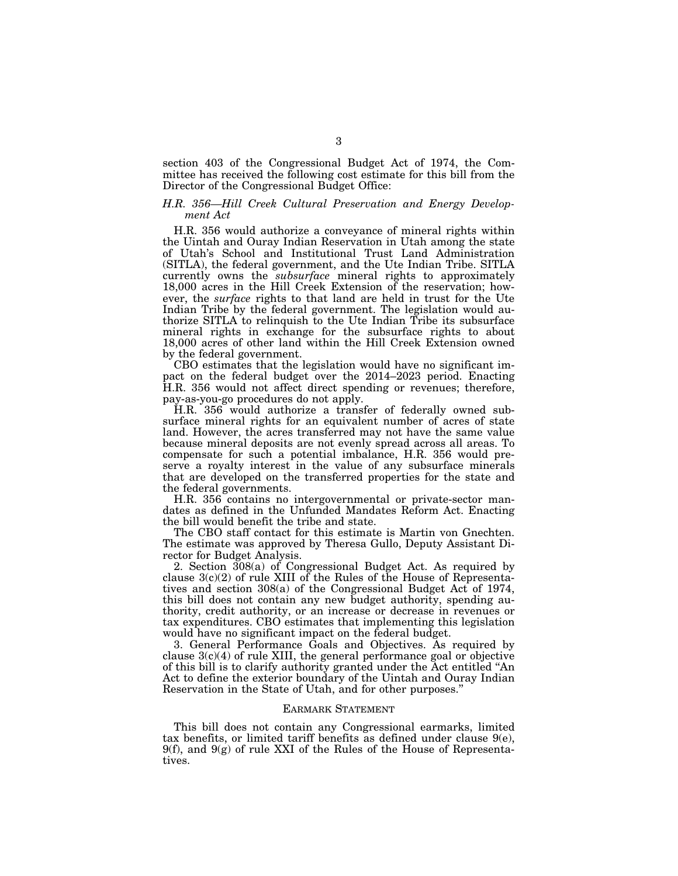section 403 of the Congressional Budget Act of 1974, the Committee has received the following cost estimate for this bill from the Director of the Congressional Budget Office:

### *H.R. 356—Hill Creek Cultural Preservation and Energy Development Act*

H.R. 356 would authorize a conveyance of mineral rights within the Uintah and Ouray Indian Reservation in Utah among the state of Utah's School and Institutional Trust Land Administration (SITLA), the federal government, and the Ute Indian Tribe. SITLA currently owns the *subsurface* mineral rights to approximately 18,000 acres in the Hill Creek Extension of the reservation; however, the *surface* rights to that land are held in trust for the Ute Indian Tribe by the federal government. The legislation would authorize SITLA to relinquish to the Ute Indian Tribe its subsurface mineral rights in exchange for the subsurface rights to about 18,000 acres of other land within the Hill Creek Extension owned by the federal government.

CBO estimates that the legislation would have no significant impact on the federal budget over the 2014–2023 period. Enacting H.R. 356 would not affect direct spending or revenues; therefore, pay-as-you-go procedures do not apply.

H.R. 356 would authorize a transfer of federally owned subsurface mineral rights for an equivalent number of acres of state land. However, the acres transferred may not have the same value because mineral deposits are not evenly spread across all areas. To compensate for such a potential imbalance, H.R. 356 would preserve a royalty interest in the value of any subsurface minerals that are developed on the transferred properties for the state and the federal governments.

H.R. 356 contains no intergovernmental or private-sector mandates as defined in the Unfunded Mandates Reform Act. Enacting the bill would benefit the tribe and state.

The CBO staff contact for this estimate is Martin von Gnechten. The estimate was approved by Theresa Gullo, Deputy Assistant Director for Budget Analysis.

2. Section 308(a) of Congressional Budget Act. As required by clause 3(c)(2) of rule XIII of the Rules of the House of Representatives and section 308(a) of the Congressional Budget Act of 1974, this bill does not contain any new budget authority, spending authority, credit authority, or an increase or decrease in revenues or tax expenditures. CBO estimates that implementing this legislation would have no significant impact on the federal budget.

3. General Performance Goals and Objectives. As required by clause  $3(c)(4)$  of rule XIII, the general performance goal or objective of this bill is to clarify authority granted under the Act entitled ''An Act to define the exterior boundary of the Uintah and Ouray Indian Reservation in the State of Utah, and for other purposes.''

#### EARMARK STATEMENT

This bill does not contain any Congressional earmarks, limited tax benefits, or limited tariff benefits as defined under clause  $9(e)$ ,  $9(f)$ , and  $9(g)$  of rule XXI of the Rules of the House of Representatives.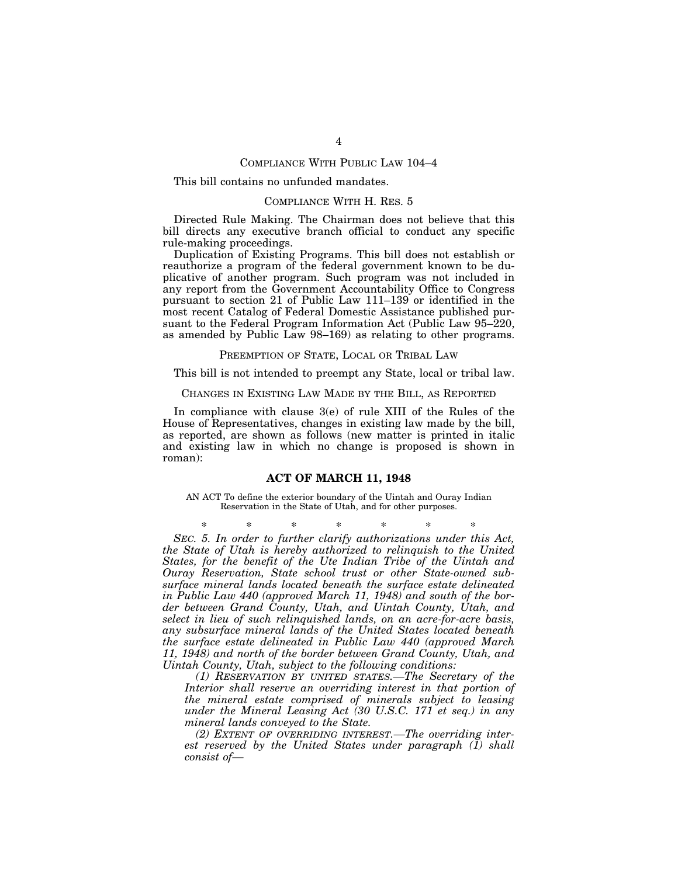## COMPLIANCE WITH PUBLIC LAW 104–4

#### This bill contains no unfunded mandates.

## COMPLIANCE WITH H. RES. 5

Directed Rule Making. The Chairman does not believe that this bill directs any executive branch official to conduct any specific rule-making proceedings.

Duplication of Existing Programs. This bill does not establish or reauthorize a program of the federal government known to be duplicative of another program. Such program was not included in any report from the Government Accountability Office to Congress pursuant to section 21 of Public Law 111–139 or identified in the most recent Catalog of Federal Domestic Assistance published pursuant to the Federal Program Information Act (Public Law 95–220, as amended by Public Law 98–169) as relating to other programs.

#### PREEMPTION OF STATE, LOCAL OR TRIBAL LAW

This bill is not intended to preempt any State, local or tribal law.

CHANGES IN EXISTING LAW MADE BY THE BILL, AS REPORTED

In compliance with clause 3(e) of rule XIII of the Rules of the House of Representatives, changes in existing law made by the bill, as reported, are shown as follows (new matter is printed in italic and existing law in which no change is proposed is shown in roman):

#### **ACT OF MARCH 11, 1948**

AN ACT To define the exterior boundary of the Uintah and Ouray Indian Reservation in the State of Utah, and for other purposes.

\* \* \* \* \* \* \* *SEC. 5. In order to further clarify authorizations under this Act, the State of Utah is hereby authorized to relinquish to the United States, for the benefit of the Ute Indian Tribe of the Uintah and Ouray Reservation, State school trust or other State-owned subsurface mineral lands located beneath the surface estate delineated in Public Law 440 (approved March 11, 1948) and south of the border between Grand County, Utah, and Uintah County, Utah, and select in lieu of such relinquished lands, on an acre-for-acre basis, any subsurface mineral lands of the United States located beneath the surface estate delineated in Public Law 440 (approved March 11, 1948) and north of the border between Grand County, Utah, and Uintah County, Utah, subject to the following conditions:* 

*(1) RESERVATION BY UNITED STATES.—The Secretary of the*  Interior shall reserve an overriding interest in that portion of *the mineral estate comprised of minerals subject to leasing under the Mineral Leasing Act (30 U.S.C. 171 et seq.) in any mineral lands conveyed to the State.* 

*(2) EXTENT OF OVERRIDING INTEREST.—The overriding interest reserved by the United States under paragraph (1) shall consist of—*